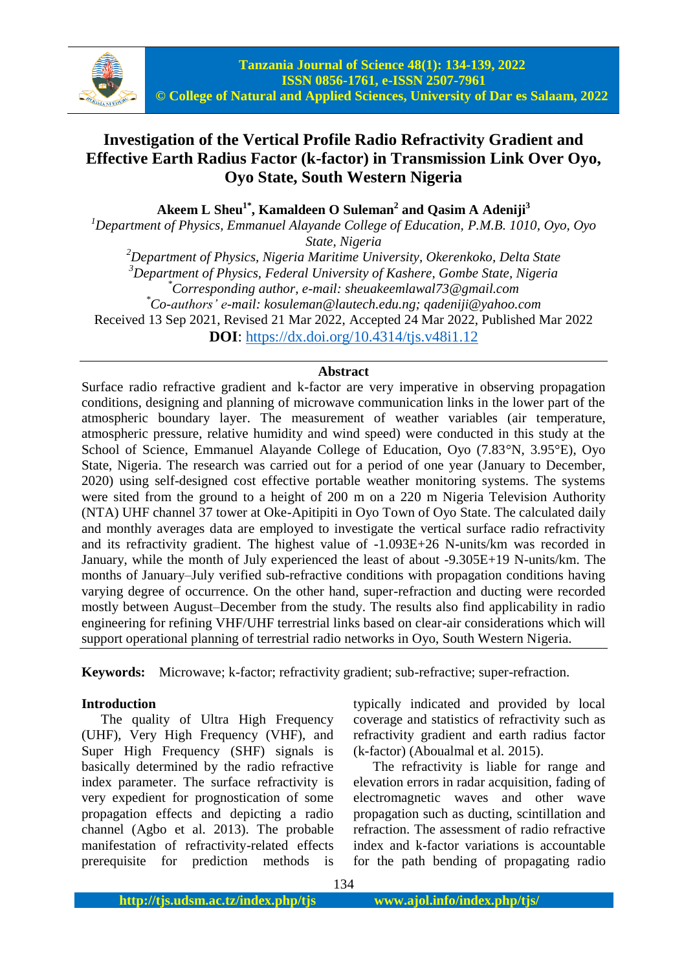

# **Investigation of the Vertical Profile Radio Refractivity Gradient and Effective Earth Radius Factor (k-factor) in Transmission Link Over Oyo, Oyo State, South Western Nigeria**

**Akeem L Sheu1\* , Kamaldeen O Suleman<sup>2</sup> and Qasim A Adeniji<sup>3</sup>**

*<sup>1</sup>Department of Physics, Emmanuel Alayande College of Education, P.M.B. 1010, Oyo, Oyo State, Nigeria*

*<sup>2</sup>Department of Physics, Nigeria Maritime University, Okerenkoko, Delta State <sup>3</sup>Department of Physics, Federal University of Kashere, Gombe State, Nigeria \*Corresponding author, e-mail: sheuakeemlawal73@gmail.com \*Co-authors' e-mail: kosuleman@lautech.edu.ng; qadeniji@yahoo.com* Received 13 Sep 2021, Revised 21 Mar 2022, Accepted 24 Mar 2022, Published Mar 2022 **DOI**: <https://dx.doi.org/10.4314/tjs.v48i1.12>

### **Abstract**

Surface radio refractive gradient and k-factor are very imperative in observing propagation conditions, designing and planning of microwave communication links in the lower part of the atmospheric boundary layer. The measurement of weather variables (air temperature, atmospheric pressure, relative humidity and wind speed) were conducted in this study at the School of Science, Emmanuel Alayande College of Education, Oyo (7.83°N, 3.95°E), Oyo State, Nigeria. The research was carried out for a period of one year (January to December, 2020) using self-designed cost effective portable weather monitoring systems. The systems were sited from the ground to a height of 200 m on a 220 m Nigeria Television Authority (NTA) UHF channel 37 tower at Oke-Apitipiti in Oyo Town of Oyo State. The calculated daily and monthly averages data are employed to investigate the vertical surface radio refractivity and its refractivity gradient. The highest value of -1.093E+26 N-units/km was recorded in January, while the month of July experienced the least of about -9.305E+19 N-units/km. The months of January–July verified sub-refractive conditions with propagation conditions having varying degree of occurrence. On the other hand, super-refraction and ducting were recorded mostly between August–December from the study. The results also find applicability in radio engineering for refining VHF/UHF terrestrial links based on clear-air considerations which will support operational planning of terrestrial radio networks in Oyo, South Western Nigeria.

**Keywords:** Microwave; k-factor; refractivity gradient; sub-refractive; super-refraction.

### **Introduction**

The quality of Ultra High Frequency (UHF), Very High Frequency (VHF), and Super High Frequency (SHF) signals is basically determined by the radio refractive index parameter. The surface refractivity is very expedient for prognostication of some propagation effects and depicting a radio channel (Agbo et al. 2013). The probable manifestation of refractivity-related effects prerequisite for prediction methods is typically indicated and provided by local coverage and statistics of refractivity such as refractivity gradient and earth radius factor (k-factor) (Aboualmal et al. 2015).

The refractivity is liable for range and elevation errors in radar acquisition, fading of electromagnetic waves and other wave propagation such as ducting, scintillation and refraction. The assessment of radio refractive index and k-factor variations is accountable for the path bending of propagating radio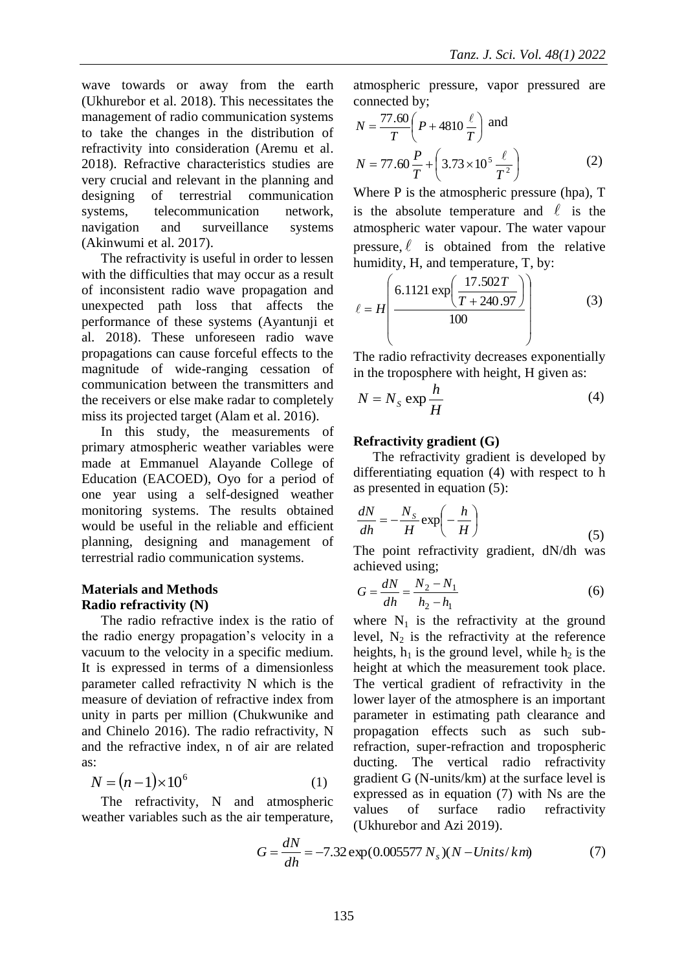wave towards or away from the earth (Ukhurebor et al. 2018). This necessitates the management of radio communication systems to take the changes in the distribution of refractivity into consideration (Aremu et al. 2018). Refractive characteristics studies are very crucial and relevant in the planning and designing of terrestrial communication systems, telecommunication network, navigation and surveillance systems (Akinwumi et al. 2017).

The refractivity is useful in order to lessen with the difficulties that may occur as a result of inconsistent radio wave propagation and unexpected path loss that affects the performance of these systems (Ayantunji et al. 2018). These unforeseen radio wave propagations can cause forceful effects to the magnitude of wide-ranging cessation of communication between the transmitters and the receivers or else make radar to completely miss its projected target (Alam et al. 2016).

In this study, the measurements of primary atmospheric weather variables were made at Emmanuel Alayande College of Education (EACOED), Oyo for a period of one year using a self-designed weather monitoring systems. The results obtained would be useful in the reliable and efficient planning, designing and management of terrestrial radio communication systems.

### **Materials and Methods Radio refractivity (N)**

The radio refractive index is the ratio of the radio energy propagation's velocity in a vacuum to the velocity in a specific medium. It is expressed in terms of a dimensionless parameter called refractivity N which is the measure of deviation of refractive index from unity in parts per million (Chukwunike and and Chinelo 2016). The radio refractivity, N and the refractive index, n of air are related as:

$$
N = (n-1) \times 10^6 \tag{1}
$$

The refractivity, N and atmospheric weather variables such as the air temperature,

atmospheric pressure, vapor pressured are connected by;

$$
N = \frac{77.60}{T} \left( P + 4810 \frac{\ell}{T} \right) \text{ and}
$$
  

$$
N = 77.60 \frac{P}{T} + \left( 3.73 \times 10^5 \frac{\ell}{T^2} \right)
$$
 (2)

Where P is the atmospheric pressure (hpa), T is the absolute temperature and  $\ell$  is the atmospheric water vapour. The water vapour pressure,  $\ell$  is obtained from the relative humidity, H, and temperature, T, by:

$$
\ell = H \left( \frac{6.1121 \exp\left(\frac{17.502T}{T + 240.97}\right)}{100} \right)
$$
(3)

The radio refractivity decreases exponentially in the troposphere with height, H given as:

$$
N = N_s \exp \frac{h}{H}
$$
 (4)

### **Refractivity gradient (G)**

The refractivity gradient is developed by differentiating equation (4) with respect to h as presented in equation (5):

$$
\frac{dN}{dh} = -\frac{N_s}{H} \exp\left(-\frac{h}{H}\right) \tag{5}
$$

The point refractivity gradient, dN/dh was achieved using;

$$
G = \frac{dN}{dh} = \frac{N_2 - N_1}{h_2 - h_1}
$$
 (6)

where  $N_1$  is the refractivity at the ground level,  $N_2$  is the refractivity at the reference heights,  $h_1$  is the ground level, while  $h_2$  is the height at which the measurement took place. The vertical gradient of refractivity in the lower layer of the atmosphere is an important parameter in estimating path clearance and propagation effects such as such subrefraction, super-refraction and tropospheric ducting. The vertical radio refractivity gradient G (N-units/km) at the surface level is expressed as in equation (7) with Ns are the values of surface radio refractivity

$$
G = \frac{dN}{dh} = -7.32 \exp(0.005577 N_s)(N - Units/km)
$$
 (7)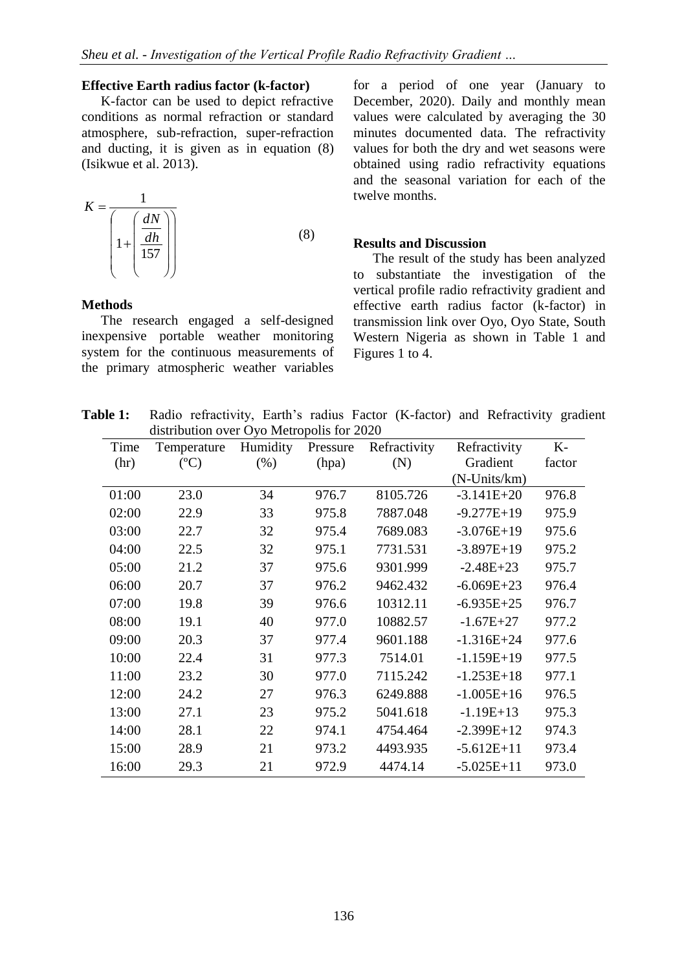#### **Effective Earth radius factor (k-factor)**

K-factor can be used to depict refractive conditions as normal refraction or standard atmosphere, sub-refraction, super-refraction and ducting, it is given as in equation (8) (Isikwue et al. 2013).

$$
K = \frac{1}{\left(1 + \left(\frac{dN}{157}\right)\right)}
$$
(8)

for a period of one year (January to December, 2020). Daily and monthly mean values were calculated by averaging the 30 minutes documented data. The refractivity values for both the dry and wet seasons were obtained using radio refractivity equations and the seasonal variation for each of the twelve months.

#### **Results and Discussion**

#### **Methods**

The research engaged a self-designed inexpensive portable weather monitoring system for the continuous measurements of the primary atmospheric weather variables

The result of the study has been analyzed to substantiate the investigation of the vertical profile radio refractivity gradient and effective earth radius factor (k-factor) in transmission link over Oyo, Oyo State, South Western Nigeria as shown in Table 1 and Figures 1 to 4.

**Table 1:** Radio refractivity, Earth's radius Factor (K-factor) and Refractivity gradient distribution over Oyo Metropolis for 2020

| Time  | Temperature | Humidity | Pressure | Refractivity | Refractivity   | K-     |
|-------|-------------|----------|----------|--------------|----------------|--------|
| (hr)  | (C)         | (% )     | (hpa)    | (N)          | Gradient       | factor |
|       |             |          |          |              | (N-Units/km)   |        |
| 01:00 | 23.0        | 34       | 976.7    | 8105.726     | $-3.141E + 20$ | 976.8  |
| 02:00 | 22.9        | 33       | 975.8    | 7887.048     | $-9.277E+19$   | 975.9  |
| 03:00 | 22.7        | 32       | 975.4    | 7689.083     | $-3.076E+19$   | 975.6  |
| 04:00 | 22.5        | 32       | 975.1    | 7731.531     | $-3.897E+19$   | 975.2  |
| 05:00 | 21.2        | 37       | 975.6    | 9301.999     | $-2.48E+23$    | 975.7  |
| 06:00 | 20.7        | 37       | 976.2    | 9462.432     | $-6.069E+23$   | 976.4  |
| 07:00 | 19.8        | 39       | 976.6    | 10312.11     | $-6.935E+25$   | 976.7  |
| 08:00 | 19.1        | 40       | 977.0    | 10882.57     | $-1.67E + 27$  | 977.2  |
| 09:00 | 20.3        | 37       | 977.4    | 9601.188     | $-1.316E + 24$ | 977.6  |
| 10:00 | 22.4        | 31       | 977.3    | 7514.01      | $-1.159E+19$   | 977.5  |
| 11:00 | 23.2        | 30       | 977.0    | 7115.242     | $-1.253E+18$   | 977.1  |
| 12:00 | 24.2        | 27       | 976.3    | 6249.888     | $-1.005E+16$   | 976.5  |
| 13:00 | 27.1        | 23       | 975.2    | 5041.618     | $-1.19E+13$    | 975.3  |
| 14:00 | 28.1        | 22       | 974.1    | 4754.464     | $-2.399E+12$   | 974.3  |
| 15:00 | 28.9        | 21       | 973.2    | 4493.935     | $-5.612E+11$   | 973.4  |
| 16:00 | 29.3        | 21       | 972.9    | 4474.14      | $-5.025E+11$   | 973.0  |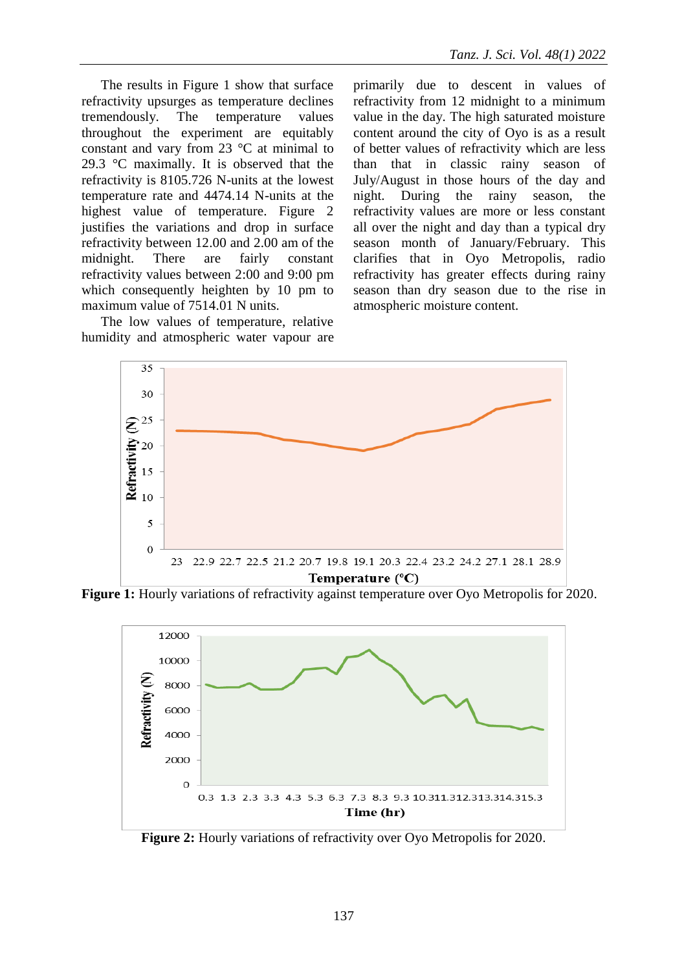The results in Figure 1 show that surface refractivity upsurges as temperature declines tremendously. The temperature values throughout the experiment are equitably constant and vary from 23 °C at minimal to 29.3 °C maximally. It is observed that the refractivity is 8105.726 N-units at the lowest temperature rate and 4474.14 N-units at the highest value of temperature. Figure 2 justifies the variations and drop in surface refractivity between 12.00 and 2.00 am of the midnight. There are fairly constant refractivity values between 2:00 and 9:00 pm which consequently heighten by 10 pm to maximum value of 7514.01 N units.

The low values of temperature, relative humidity and atmospheric water vapour are primarily due to descent in values of refractivity from 12 midnight to a minimum value in the day. The high saturated moisture content around the city of Oyo is as a result of better values of refractivity which are less than that in classic rainy season of July/August in those hours of the day and night. During the rainy season, the refractivity values are more or less constant all over the night and day than a typical dry season month of January/February. This clarifies that in Oyo Metropolis, radio refractivity has greater effects during rainy season than dry season due to the rise in atmospheric moisture content.



**Figure 1:** Hourly variations of refractivity against temperature over Oyo Metropolis for 2020.



**Figure 2:** Hourly variations of refractivity over Oyo Metropolis for 2020.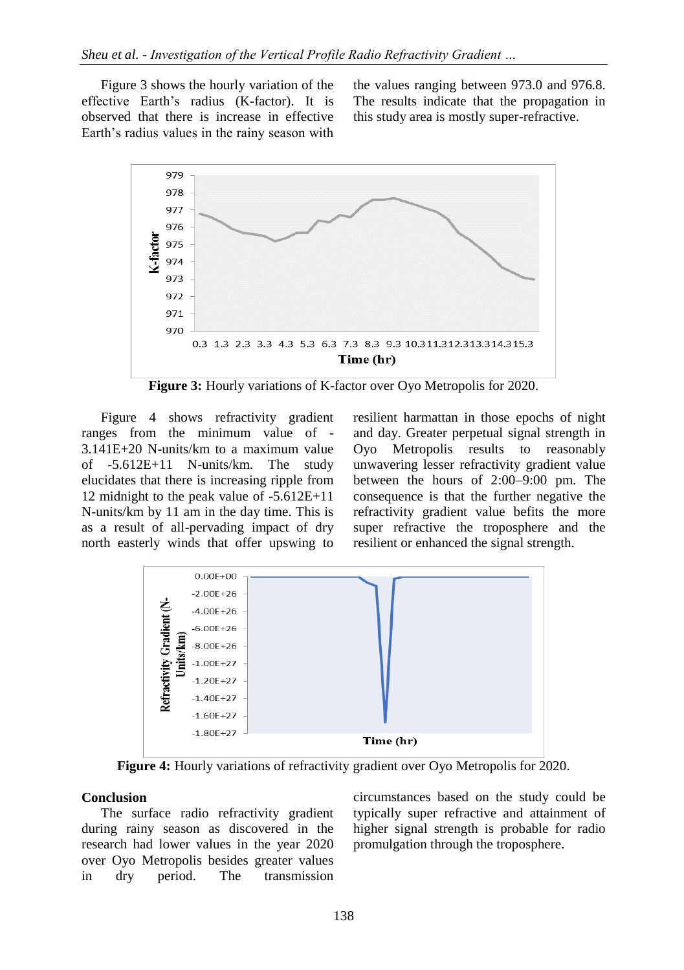Figure 3 shows the hourly variation of the effective Earth's radius (K-factor). It is observed that there is increase in effective Earth's radius values in the rainy season with

the values ranging between 973.0 and 976.8. The results indicate that the propagation in this study area is mostly super-refractive.



**Figure 3:** Hourly variations of K-factor over Oyo Metropolis for 2020.

Figure 4 shows refractivity gradient ranges from the minimum value of - 3.141E+20 N-units/km to a maximum value of -5.612E+11 N-units/km. The study elucidates that there is increasing ripple from 12 midnight to the peak value of -5.612E+11 N-units/km by 11 am in the day time. This is as a result of all-pervading impact of dry north easterly winds that offer upswing to resilient harmattan in those epochs of night and day. Greater perpetual signal strength in Oyo Metropolis results to reasonably unwavering lesser refractivity gradient value between the hours of 2:00–9:00 pm. The consequence is that the further negative the refractivity gradient value befits the more super refractive the troposphere and the resilient or enhanced the signal strength.



**Figure 4:** Hourly variations of refractivity gradient over Oyo Metropolis for 2020.

### **Conclusion**

The surface radio refractivity gradient during rainy season as discovered in the research had lower values in the year 2020 over Oyo Metropolis besides greater values in dry period. The transmission

circumstances based on the study could be typically super refractive and attainment of higher signal strength is probable for radio promulgation through the troposphere.